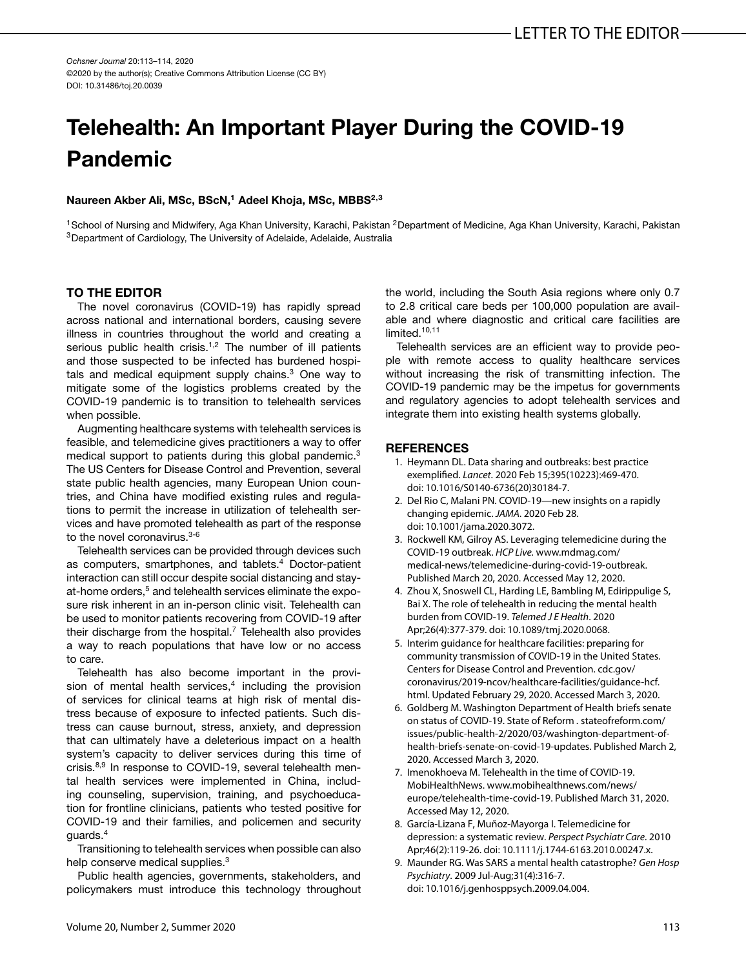*Ochsner Journal* 20:113–114, 2020 ©2020 by the author(s); Creative Commons Attribution License (CC BY) DOI: 10.31486/toj.20.0039

## **Telehealth: An Important Player During the COVID-19 Pandemic**

## Naureen Akber Ali, MSc, BScN,<sup>1</sup> Adeel Khoja, MSc, MBBS<sup>2,3</sup>

<sup>1</sup>School of Nursing and Midwifery, Aga Khan University, Karachi, Pakistan <sup>2</sup>Department of Medicine, Aga Khan University, Karachi, Pakistan 3Department of Cardiology, The University of Adelaide, Adelaide, Australia

## **TO THE EDITOR**

The novel coronavirus (COVID-19) has rapidly spread across national and international borders, causing severe illness in countries throughout the world and creating a serious public health crisis.<sup>1,2</sup> The number of ill patients and those suspected to be infected has burdened hospitals and medical equipment supply chains. $3$  One way to mitigate some of the logistics problems created by the COVID-19 pandemic is to transition to telehealth services when possible.

Augmenting healthcare systems with telehealth services is feasible, and telemedicine gives practitioners a way to offer medical support to patients during this global pandemic.<sup>3</sup> The US Centers for Disease Control and Prevention, several state public health agencies, many European Union countries, and China have modified existing rules and regulations to permit the increase in utilization of telehealth services and have promoted telehealth as part of the response to the novel coronavirus.<sup>3-6</sup>

Telehealth services can be provided through devices such as computers, smartphones, and tablets.<sup>4</sup> Doctor-patient interaction can still occur despite social distancing and stayat-home orders,<sup>5</sup> and telehealth services eliminate the exposure risk inherent in an in-person clinic visit. Telehealth can be used to monitor patients recovering from COVID-19 after their discharge from the hospital.<sup>7</sup> Telehealth also provides a way to reach populations that have low or no access to care.

Telehealth has also become important in the provision of mental health services, $4$  including the provision of services for clinical teams at high risk of mental distress because of exposure to infected patients. Such distress can cause burnout, stress, anxiety, and depression that can ultimately have a deleterious impact on a health system's capacity to deliver services during this time of crisis.<sup>8,9</sup> In response to COVID-19, several telehealth mental health services were implemented in China, including counseling, supervision, training, and psychoeducation for frontline clinicians, patients who tested positive for COVID-19 and their families, and policemen and security guards.4

Transitioning to telehealth services when possible can also help conserve medical supplies.<sup>3</sup>

Public health agencies, governments, stakeholders, and policymakers must introduce this technology throughout the world, including the South Asia regions where only 0.7 to 2.8 critical care beds per 100,000 population are available and where diagnostic and critical care facilities are limited.<sup>[10,11](#page-1-0)</sup>

Telehealth services are an efficient way to provide people with remote access to quality healthcare services without increasing the risk of transmitting infection. The COVID-19 pandemic may be the impetus for governments and regulatory agencies to adopt telehealth services and integrate them into existing health systems globally.

## **REFERENCES**

- 1. Heymann DL. Data sharing and outbreaks: best practice exemplified. *Lancet*. 2020 Feb 15;395(10223):469-470. doi: 10.1016/S0140-6736(20)30184-7.
- 2. Del Rio C, Malani PN. COVID-19—new insights on a rapidly changing epidemic. *JAMA*. 2020 Feb 28. doi: 10.1001/jama.2020.3072.
- 3. Rockwell KM, Gilroy AS. Leveraging telemedicine during the COVID-19 outbreak. *HCP Live.* [www.mdmag.com/](http://www.mdmag.com/medical-news/telemedicine-during-covid-19-outbreak) [medical-news/telemedicine-during-covid-19-outbreak.](http://www.mdmag.com/medical-news/telemedicine-during-covid-19-outbreak) Published March 20, 2020. Accessed May 12, 2020.
- 4. Zhou X, Snoswell CL, Harding LE, Bambling M, Edirippulige S, Bai X. The role of telehealth in reducing the mental health burden from COVID-19. *Telemed J E Health*. 2020 Apr;26(4):377-379. doi: 10.1089/tmj.2020.0068.
- 5. Interim guidance for healthcare facilities: preparing for community transmission of COVID-19 in the United States. Centers for Disease Control and Prevention. [cdc.gov/](http://cdc.gov/coronavirus/2019-ncov/healthcare-facilities/guidance-hcf.html) [coronavirus/2019-ncov/healthcare-facilities/guidance-hcf.](http://cdc.gov/coronavirus/2019-ncov/healthcare-facilities/guidance-hcf.html) [html.](http://cdc.gov/coronavirus/2019-ncov/healthcare-facilities/guidance-hcf.html) Updated February 29, 2020. Accessed March 3, 2020.
- 6. Goldberg M. Washington Department of Health briefs senate on status of COVID-19. State of Reform *.* [stateofreform.com/](http://stateofreform.com/issues/public-health-2/2020/03/washington-department-of-health-briefs-senate-on-covid-19-updates) [issues/public-health-2/2020/03/washington-department-of](http://stateofreform.com/issues/public-health-2/2020/03/washington-department-of-health-briefs-senate-on-covid-19-updates)[health-briefs-senate-on-covid-19-updates.](http://stateofreform.com/issues/public-health-2/2020/03/washington-department-of-health-briefs-senate-on-covid-19-updates) Published March 2, 2020. Accessed March 3, 2020.
- 7. Imenokhoeva M. Telehealth in the time of COVID-19. MobiHealthNews. [www.mobihealthnews.com/news/](http://www.mobihealthnews.com/news/europe/telehealth-time-covid-19) [europe/telehealth-time-covid-19.](http://www.mobihealthnews.com/news/europe/telehealth-time-covid-19) Published March 31, 2020. Accessed May 12, 2020.
- 8. García-Lizana F, Muñoz-Mayorga I. Telemedicine for depression: a systematic review. *Perspect Psychiatr Care*. 2010 Apr;46(2):119-26. doi: 10.1111/j.1744-6163.2010.00247.x.
- 9. Maunder RG. Was SARS a mental health catastrophe? *Gen Hosp Psychiatry*. 2009 Jul-Aug;31(4):316-7. doi: 10.1016/j.genhosppsych.2009.04.004.